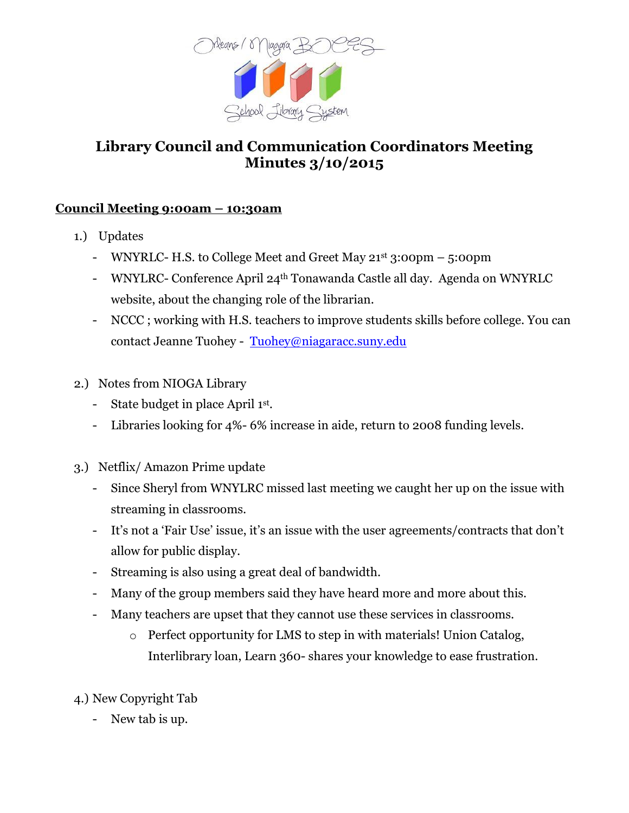

## **Library Council and Communication Coordinators Meeting Minutes 3/10/2015**

## **Council Meeting 9:00am – 10:30am**

- 1.) Updates
	- WNYRLC- H.S. to College Meet and Greet May 21st 3:00pm 5:00pm
	- WNYLRC- Conference April 24th Tonawanda Castle all day. Agenda on WNYRLC website, about the changing role of the librarian.
	- NCCC ; working with H.S. teachers to improve students skills before college. You can contact Jeanne Tuohey - [Tuohey@niagaracc.suny.edu](mailto:Tuohey@niagaracc.suny.edu)
- 2.) Notes from NIOGA Library
	- State budget in place April 1st.
	- Libraries looking for 4%- 6% increase in aide, return to 2008 funding levels.
- 3.) Netflix/ Amazon Prime update
	- Since Sheryl from WNYLRC missed last meeting we caught her up on the issue with streaming in classrooms.
	- It's not a 'Fair Use' issue, it's an issue with the user agreements/contracts that don't allow for public display.
	- Streaming is also using a great deal of bandwidth.
	- Many of the group members said they have heard more and more about this.
	- Many teachers are upset that they cannot use these services in classrooms.
		- o Perfect opportunity for LMS to step in with materials! Union Catalog, Interlibrary loan, Learn 360- shares your knowledge to ease frustration.
- 4.) New Copyright Tab
	- New tab is up.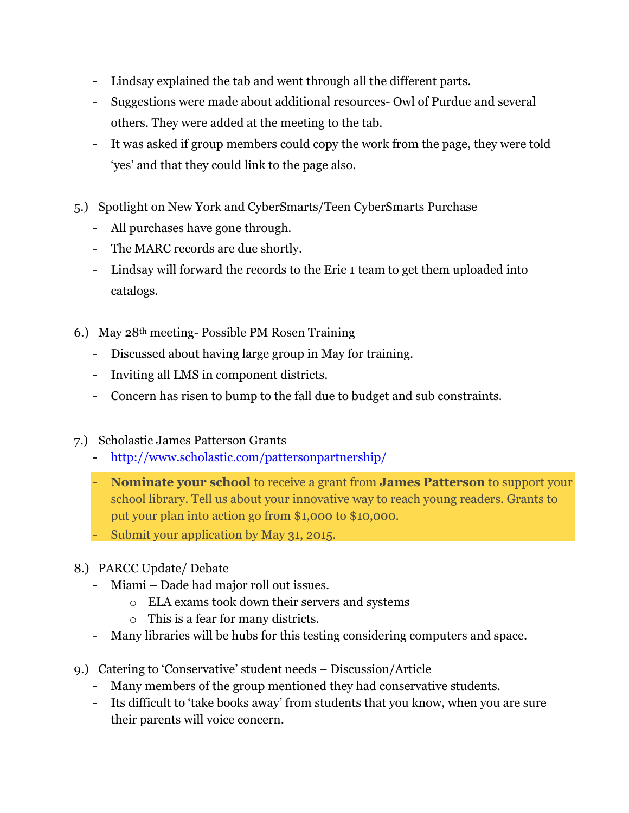- Lindsay explained the tab and went through all the different parts.
- Suggestions were made about additional resources- Owl of Purdue and several others. They were added at the meeting to the tab.
- It was asked if group members could copy the work from the page, they were told 'yes' and that they could link to the page also.
- 5.) Spotlight on New York and CyberSmarts/Teen CyberSmarts Purchase
	- All purchases have gone through.
	- The MARC records are due shortly.
	- Lindsay will forward the records to the Erie 1 team to get them uploaded into catalogs.
- 6.) May 28th meeting- Possible PM Rosen Training
	- Discussed about having large group in May for training.
	- Inviting all LMS in component districts.
	- Concern has risen to bump to the fall due to budget and sub constraints.
- 7.) Scholastic James Patterson Grants
	- <http://www.scholastic.com/pattersonpartnership/>
	- **Nominate your school** to receive a grant from **James Patterson** to support your school library. Tell us about your innovative way to reach young readers. Grants to put your plan into action go from \$1,000 to \$10,000.
	- Submit your application by May 31, 2015.
- 8.) PARCC Update/ Debate
	- Miami Dade had major roll out issues.
		- o ELA exams took down their servers and systems
		- o This is a fear for many districts.
	- Many libraries will be hubs for this testing considering computers and space.
- 9.) Catering to 'Conservative' student needs Discussion/Article
	- Many members of the group mentioned they had conservative students.
	- Its difficult to 'take books away' from students that you know, when you are sure their parents will voice concern.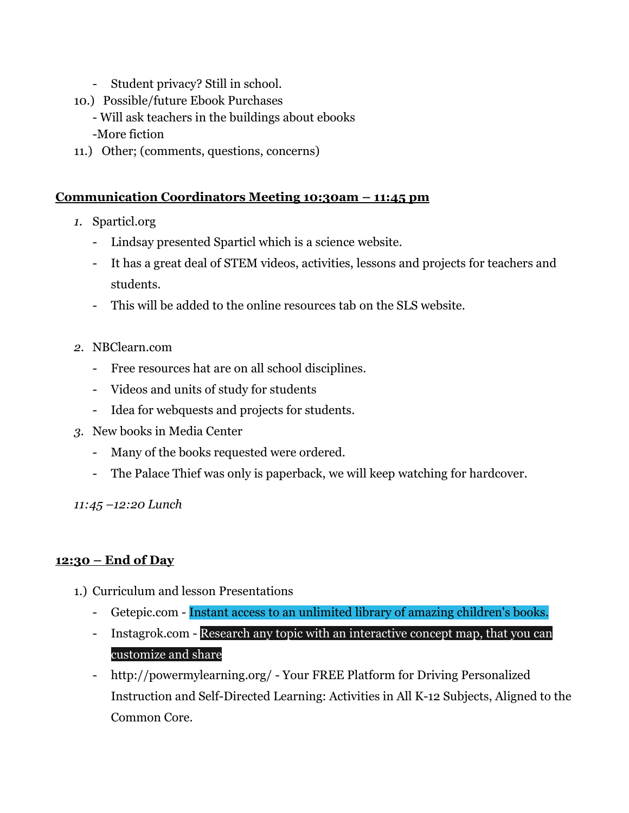- Student privacy? Still in school.
- 10.) Possible/future Ebook Purchases
	- Will ask teachers in the buildings about ebooks
	- -More fiction
- 11.) Other; (comments, questions, concerns)

## **Communication Coordinators Meeting 10:30am – 11:45 pm**

- *1.* Sparticl.org
	- Lindsay presented Sparticl which is a science website.
	- It has a great deal of STEM videos, activities, lessons and projects for teachers and students.
	- This will be added to the online resources tab on the SLS website.
- *2.* NBClearn.com
	- Free resources hat are on all school disciplines.
	- Videos and units of study for students
	- Idea for webquests and projects for students.
- *3.* New books in Media Center
	- Many of the books requested were ordered.
	- The Palace Thief was only is paperback, we will keep watching for hardcover.

*11:45 –12:20 Lunch*

## **12:30 – End of Day**

- 1.) Curriculum and lesson Presentations
	- Getepic.com Instant access to an unlimited library of amazing children's books.
	- Instagrok.com Research any topic with an interactive concept map, that you can customize and share
	- http://powermylearning.org/ Your FREE Platform for Driving Personalized Instruction and Self-Directed Learning: Activities in All K-12 Subjects, Aligned to the Common Core.